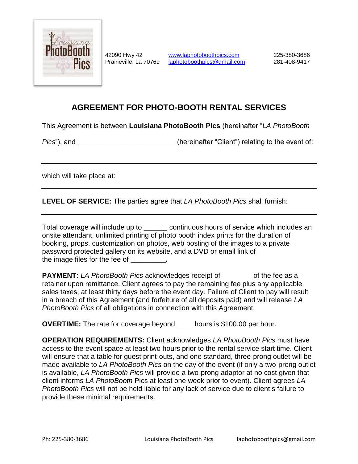

42090 Hwy 42 **[www.laphotoboothpics.com](http://www.laphotoboothpics.com/)** 225-380-3686 Prairieville, La 70769 [laphotoboothpics@gmail.com](mailto:laphotoboothpics@gmail.com) 281-408-9417

## **AGREEMENT FOR PHOTO-BOOTH RENTAL SERVICES**

This Agreement is between **Louisiana PhotoBooth Pics** (hereinafter "*LA PhotoBooth*

*Pics*"), and **\_\_\_\_\_\_\_\_\_\_\_\_\_\_\_\_\_\_\_\_\_\_\_\_\_** (hereinafter "Client") relating to the event of:

which will take place at:

**LEVEL OF SERVICE:** The parties agree that *LA PhotoBooth Pics* shall furnish:

| Total coverage will include up to                                                    | continuous hours of service which includes an |
|--------------------------------------------------------------------------------------|-----------------------------------------------|
| onsite attendant, unlimited printing of photo booth index prints for the duration of |                                               |
| booking, props, customization on photos, web posting of the images to a private      |                                               |
| password protected gallery on its website, and a DVD or email link of                |                                               |
| the image files for the fee of The image of                                          |                                               |

**PAYMENT:** LA PhotoBooth Pics acknowledges receipt of \_\_\_\_\_\_\_\_\_\_of the fee as a retainer upon remittance. Client agrees to pay the remaining fee plus any applicable sales taxes, at least thirty days before the event day. Failure of Client to pay will result in a breach of this Agreement (and forfeiture of all deposits paid) and will release *LA PhotoBooth Pics* of all obligations in connection with this Agreement.

**OVERTIME:** The rate for coverage beyond **\_\_\_\_** hours is \$100.00 per hour.

**OPERATION REQUIREMENTS:** Client acknowledges *LA PhotoBooth Pics* must have access to the event space at least two hours prior to the rental service start time. Client will ensure that a table for guest print-outs, and one standard, three-prong outlet will be made available to *LA PhotoBooth Pics* on the day of the event (if only a two-prong outlet is available, *LA PhotoBooth Pics* will provide a two-prong adaptor at no cost given that client informs *LA PhotoBooth* Pics at least one week prior to event). Client agrees *LA PhotoBooth Pics* will not be held liable for any lack of service due to client's failure to provide these minimal requirements.